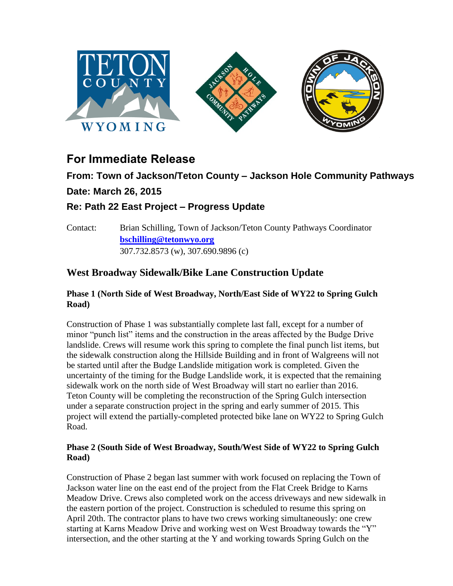

# **For Immediate Release**

## **From: Town of Jackson/Teton County – Jackson Hole Community Pathways Date: March 26, 2015**

### **Re: Path 22 East Project – Progress Update**

Contact: Brian Schilling, Town of Jackson/Teton County Pathways Coordinator **[bschilling@tetonwyo.org](mailto:bschilling@tetonwyo.org)** 307.732.8573 (w), 307.690.9896 (c)

### **West Broadway Sidewalk/Bike Lane Construction Update**

#### **Phase 1 (North Side of West Broadway, North/East Side of WY22 to Spring Gulch Road)**

Construction of Phase 1 was substantially complete last fall, except for a number of minor "punch list" items and the construction in the areas affected by the Budge Drive landslide. Crews will resume work this spring to complete the final punch list items, but the sidewalk construction along the Hillside Building and in front of Walgreens will not be started until after the Budge Landslide mitigation work is completed. Given the uncertainty of the timing for the Budge Landslide work, it is expected that the remaining sidewalk work on the north side of West Broadway will start no earlier than 2016. Teton County will be completing the reconstruction of the Spring Gulch intersection under a separate construction project in the spring and early summer of 2015. This project will extend the partially-completed protected bike lane on WY22 to Spring Gulch Road.

#### **Phase 2 (South Side of West Broadway, South/West Side of WY22 to Spring Gulch Road)**

Construction of Phase 2 began last summer with work focused on replacing the Town of Jackson water line on the east end of the project from the Flat Creek Bridge to Karns Meadow Drive. Crews also completed work on the access driveways and new sidewalk in the eastern portion of the project. Construction is scheduled to resume this spring on April 20th. The contractor plans to have two crews working simultaneously: one crew starting at Karns Meadow Drive and working west on West Broadway towards the "Y" intersection, and the other starting at the Y and working towards Spring Gulch on the